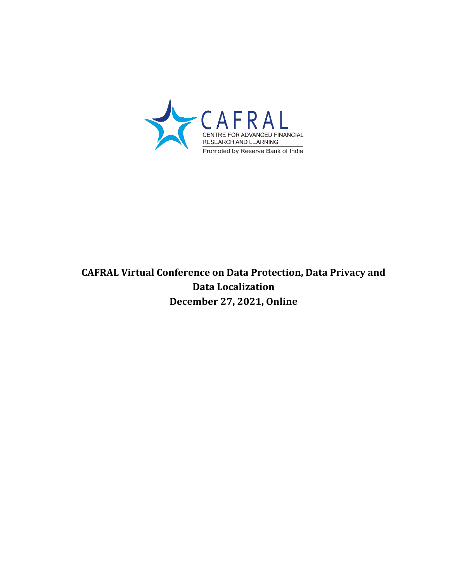

# **CAFRAL Virtual Conference on Data Protection, Data Privacy and Data Localization December 27, 2021, Online**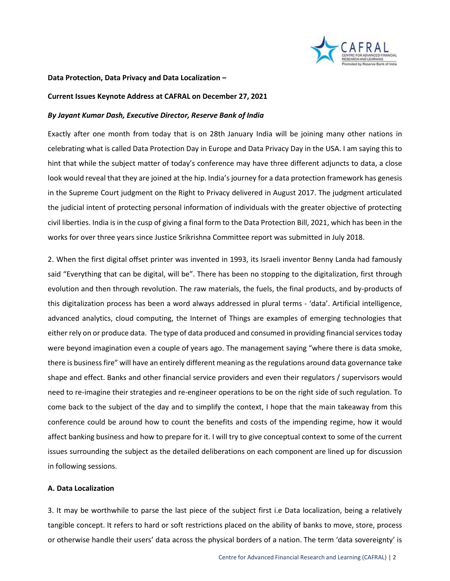

#### **Data Protection, Data Privacy and Data Localization –**

#### **Current Issues Keynote Address at CAFRAL on December 27, 2021**

#### *By Jayant Kumar Dash, Executive Director, Reserve Bank of India*

Exactly after one month from today that is on 28th January India will be joining many other nations in celebrating what is called Data Protection Day in Europe and Data Privacy Day in the USA. I am saying this to hint that while the subject matter of today's conference may have three different adjuncts to data, a close look would reveal that they are joined at the hip. India's journey for a data protection framework has genesis in the Supreme Court judgment on the Right to Privacy delivered in August 2017. The judgment articulated the judicial intent of protecting personal information of individuals with the greater objective of protecting civil liberties. India is in the cusp of giving a final form to the Data Protection Bill, 2021, which has been in the works for over three years since Justice Srikrishna Committee report was submitted in July 2018.

2. When the first digital offset printer was invented in 1993, its Israeli inventor Benny Landa had famously said "Everything that can be digital, will be". There has been no stopping to the digitalization, first through evolution and then through revolution. The raw materials, the fuels, the final products, and by-products of this digitalization process has been a word always addressed in plural terms - 'data'. Artificial intelligence, advanced analytics, cloud computing, the Internet of Things are examples of emerging technologies that either rely on or produce data. The type of data produced and consumed in providing financial services today were beyond imagination even a couple of years ago. The management saying "where there is data smoke, there is business fire" will have an entirely different meaning as the regulations around data governance take shape and effect. Banks and other financial service providers and even their regulators / supervisors would need to re-imagine their strategies and re-engineer operations to be on the right side of such regulation. To come back to the subject of the day and to simplify the context, I hope that the main takeaway from this conference could be around how to count the benefits and costs of the impending regime, how it would affect banking business and how to prepare for it. I will try to give conceptual context to some of the current issues surrounding the subject as the detailed deliberations on each component are lined up for discussion in following sessions.

### **A. Data Localization**

3. It may be worthwhile to parse the last piece of the subject first i.e Data localization, being a relatively tangible concept. It refers to hard or soft restrictions placed on the ability of banks to move, store, process or otherwise handle their users' data across the physical borders of a nation. The term 'data sovereignty' is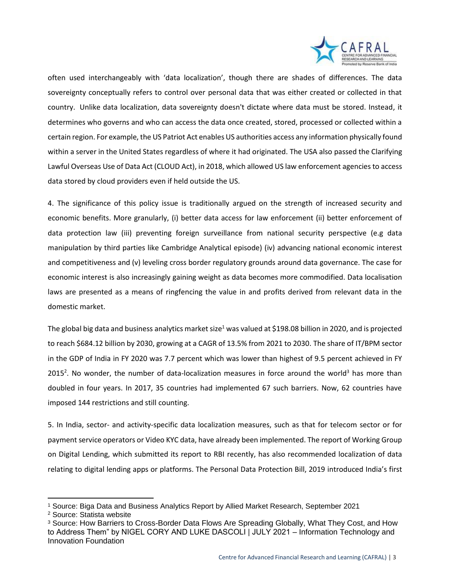

often used interchangeably with 'data localization', though there are shades of differences. The data sovereignty conceptually refers to control over personal data that was either created or collected in that country. Unlike data localization, data sovereignty doesn't dictate where data must be stored. Instead, it determines who governs and who can access the data once created, stored, processed or collected within a certain region. For example, the US Patriot Act enables US authorities access any information physically found within a server in the United States regardless of where it had originated. The USA also passed the Clarifying Lawful Overseas Use of Data Act (CLOUD Act), in 2018, which allowed US law enforcement agencies to access data stored by cloud providers even if held outside the US.

4. The significance of this policy issue is traditionally argued on the strength of increased security and economic benefits. More granularly, (i) better data access for law enforcement (ii) better enforcement of data protection law (iii) preventing foreign surveillance from national security perspective (e.g data manipulation by third parties like Cambridge Analytical episode) (iv) advancing national economic interest and competitiveness and (v) leveling cross border regulatory grounds around data governance. The case for economic interest is also increasingly gaining weight as data becomes more commodified. Data localisation laws are presented as a means of ringfencing the value in and profits derived from relevant data in the domestic market.

The global big data and business analytics market size<sup>1</sup> was valued at \$198.08 billion in 2020, and is projected to reach \$684.12 billion by 2030, growing at a CAGR of 13.5% from 2021 to 2030. The share of IT/BPM sector in the GDP of India in FY 2020 was 7.7 percent which was lower than highest of 9.5 percent achieved in FY 2015<sup>2</sup>. No wonder, the number of data-localization measures in force around the world<sup>3</sup> has more than doubled in four years. In 2017, 35 countries had implemented 67 such barriers. Now, 62 countries have imposed 144 restrictions and still counting.

5. In India, sector- and activity-specific data localization measures, such as that for telecom sector or for payment service operators or Video KYC data, have already been implemented. The report of Working Group on Digital Lending, which submitted its report to RBI recently, has also recommended localization of data relating to digital lending apps or platforms. The Personal Data Protection Bill, 2019 introduced India's first

 $\overline{a}$ 

<sup>1</sup> Source: Biga Data and Business Analytics Report by Allied Market Research, September 2021

<sup>2</sup> Source: Statista website

<sup>3</sup> Source: How Barriers to Cross-Border Data Flows Are Spreading Globally, What They Cost, and How to Address Them" by NIGEL CORY AND LUKE DASCOLI | JULY 2021 – Information Technology and Innovation Foundation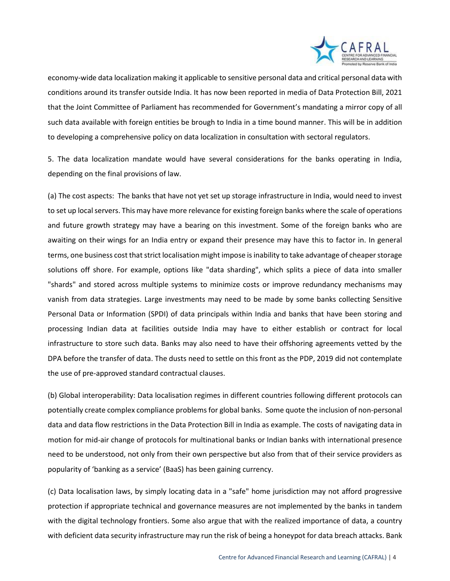

economy-wide data localization making it applicable to sensitive personal data and critical personal data with conditions around its transfer outside India. It has now been reported in media of Data Protection Bill, 2021 that the Joint Committee of Parliament has recommended for Government's mandating a mirror copy of all such data available with foreign entities be brough to India in a time bound manner. This will be in addition to developing a comprehensive policy on data localization in consultation with sectoral regulators.

5. The data localization mandate would have several considerations for the banks operating in India, depending on the final provisions of law.

(a) The cost aspects: The banks that have not yet set up storage infrastructure in India, would need to invest to set up local servers. This may have more relevance for existing foreign banks where the scale of operations and future growth strategy may have a bearing on this investment. Some of the foreign banks who are awaiting on their wings for an India entry or expand their presence may have this to factor in. In general terms, one business cost that strict localisation might impose is inability to take advantage of cheaper storage solutions off shore. For example, options like "data sharding", which splits a piece of data into smaller "shards" and stored across multiple systems to minimize costs or improve redundancy mechanisms may vanish from data strategies. Large investments may need to be made by some banks collecting Sensitive Personal Data or Information (SPDI) of data principals within India and banks that have been storing and processing Indian data at facilities outside India may have to either establish or contract for local infrastructure to store such data. Banks may also need to have their offshoring agreements vetted by the DPA before the transfer of data. The dusts need to settle on this front as the PDP, 2019 did not contemplate the use of pre-approved standard contractual clauses.

(b) Global interoperability: Data localisation regimes in different countries following different protocols can potentially create complex compliance problems for global banks. Some quote the inclusion of non-personal data and data flow restrictions in the Data Protection Bill in India as example. The costs of navigating data in motion for mid-air change of protocols for multinational banks or Indian banks with international presence need to be understood, not only from their own perspective but also from that of their service providers as popularity of 'banking as a service' (BaaS) has been gaining currency.

(c) Data localisation laws, by simply locating data in a "safe" home jurisdiction may not afford progressive protection if appropriate technical and governance measures are not implemented by the banks in tandem with the digital technology frontiers. Some also argue that with the realized importance of data, a country with deficient data security infrastructure may run the risk of being a honeypot for data breach attacks. Bank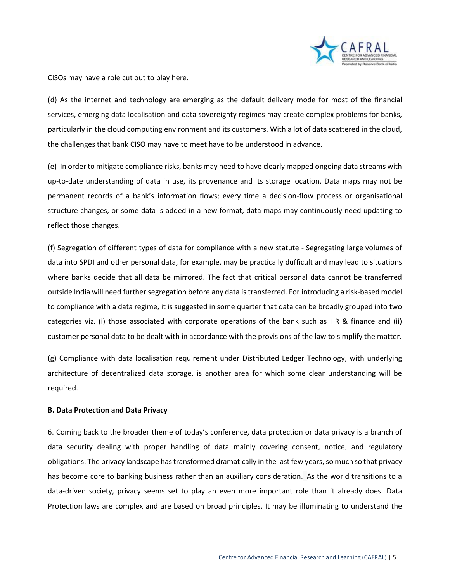

CISOs may have a role cut out to play here.

(d) As the internet and technology are emerging as the default delivery mode for most of the financial services, emerging data localisation and data sovereignty regimes may create complex problems for banks, particularly in the cloud computing environment and its customers. With a lot of data scattered in the cloud, the challenges that bank CISO may have to meet have to be understood in advance.

(e) In order to mitigate compliance risks, banks may need to have clearly mapped ongoing data streams with up-to-date understanding of data in use, its provenance and its storage location. Data maps may not be permanent records of a bank's information flows; every time a decision-flow process or organisational structure changes, or some data is added in a new format, data maps may continuously need updating to reflect those changes.

(f) Segregation of different types of data for compliance with a new statute - Segregating large volumes of data into SPDI and other personal data, for example, may be practically dufficult and may lead to situations where banks decide that all data be mirrored. The fact that critical personal data cannot be transferred outside India will need further segregation before any data is transferred. For introducing a risk-based model to compliance with a data regime, it is suggested in some quarter that data can be broadly grouped into two categories viz. (i) those associated with corporate operations of the bank such as HR & finance and (ii) customer personal data to be dealt with in accordance with the provisions of the law to simplify the matter.

(g) Compliance with data localisation requirement under Distributed Ledger Technology, with underlying architecture of decentralized data storage, is another area for which some clear understanding will be required.

## **B. Data Protection and Data Privacy**

6. Coming back to the broader theme of today's conference, data protection or data privacy is a branch of data security dealing with proper handling of data mainly covering consent, notice, and regulatory obligations. The privacy landscape has transformed dramatically in the last few years, so much so that privacy has become core to banking business rather than an auxiliary consideration. As the world transitions to a data-driven society, privacy seems set to play an even more important role than it already does. Data Protection laws are complex and are based on broad principles. It may be illuminating to understand the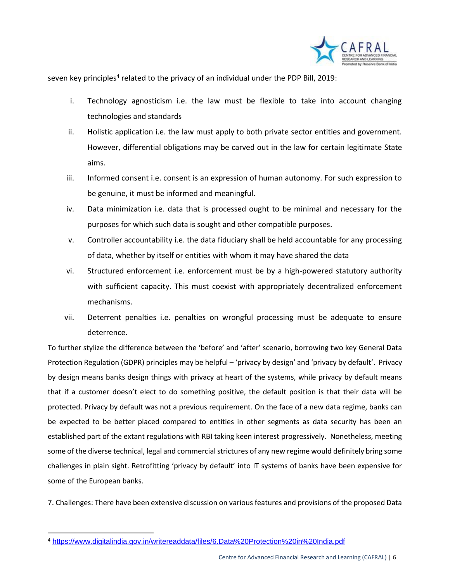

seven key principles<sup>4</sup> related to the privacy of an individual under the PDP Bill, 2019:

- i. Technology agnosticism i.e. the law must be flexible to take into account changing technologies and standards
- ii. Holistic application i.e. the law must apply to both private sector entities and government. However, differential obligations may be carved out in the law for certain legitimate State aims.
- iii. Informed consent i.e. consent is an expression of human autonomy. For such expression to be genuine, it must be informed and meaningful.
- iv. Data minimization i.e. data that is processed ought to be minimal and necessary for the purposes for which such data is sought and other compatible purposes.
- v. Controller accountability i.e. the data fiduciary shall be held accountable for any processing of data, whether by itself or entities with whom it may have shared the data
- vi. Structured enforcement i.e. enforcement must be by a high-powered statutory authority with sufficient capacity. This must coexist with appropriately decentralized enforcement mechanisms.
- vii. Deterrent penalties i.e. penalties on wrongful processing must be adequate to ensure deterrence.

To further stylize the difference between the 'before' and 'after' scenario, borrowing two key General Data Protection Regulation (GDPR) principles may be helpful – 'privacy by design' and 'privacy by default'. Privacy by design means banks design things with privacy at heart of the systems, while privacy by default means that if a customer doesn't elect to do something positive, the default position is that their data will be protected. Privacy by default was not a previous requirement. On the face of a new data regime, banks can be expected to be better placed compared to entities in other segments as data security has been an established part of the extant regulations with RBI taking keen interest progressively. Nonetheless, meeting some of the diverse technical, legal and commercial strictures of any new regime would definitely bring some challenges in plain sight. Retrofitting 'privacy by default' into IT systems of banks have been expensive for some of the European banks.

7. Challenges: There have been extensive discussion on various features and provisions of the proposed Data

 $\overline{a}$ <sup>4</sup> <https://www.digitalindia.gov.in/writereaddata/files/6.Data%20Protection%20in%20India.pdf>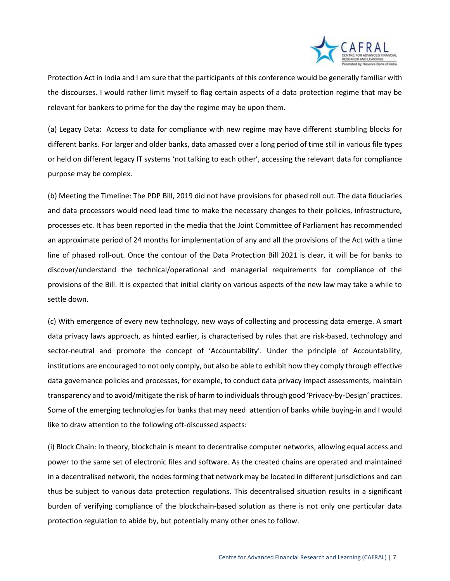

Protection Act in India and I am sure that the participants of this conference would be generally familiar with the discourses. I would rather limit myself to flag certain aspects of a data protection regime that may be relevant for bankers to prime for the day the regime may be upon them.

(a) Legacy Data: Access to data for compliance with new regime may have different stumbling blocks for different banks. For larger and older banks, data amassed over a long period of time still in various file types or held on different legacy IT systems 'not talking to each other', accessing the relevant data for compliance purpose may be complex.

(b) Meeting the Timeline: The PDP Bill, 2019 did not have provisions for phased roll out. The data fiduciaries and data processors would need lead time to make the necessary changes to their policies, infrastructure, processes etc. It has been reported in the media that the Joint Committee of Parliament has recommended an approximate period of 24 months for implementation of any and all the provisions of the Act with a time line of phased roll-out. Once the contour of the Data Protection Bill 2021 is clear, it will be for banks to discover/understand the technical/operational and managerial requirements for compliance of the provisions of the Bill. It is expected that initial clarity on various aspects of the new law may take a while to settle down.

(c) With emergence of every new technology, new ways of collecting and processing data emerge. A smart data privacy laws approach, as hinted earlier, is characterised by rules that are risk-based, technology and sector-neutral and promote the concept of 'Accountability'. Under the principle of Accountability, institutions are encouraged to not only comply, but also be able to exhibit how they comply through effective data governance policies and processes, for example, to conduct data privacy impact assessments, maintain transparency and to avoid/mitigate the risk of harm to individuals through good 'Privacy-by-Design' practices. Some of the emerging technologies for banks that may need attention of banks while buying-in and I would like to draw attention to the following oft-discussed aspects:

(i) Block Chain: In theory, blockchain is meant to decentralise computer networks, allowing equal access and power to the same set of electronic files and software. As the created chains are operated and maintained in a decentralised network, the nodes forming that network may be located in different jurisdictions and can thus be subject to various data protection regulations. This decentralised situation results in a significant burden of verifying compliance of the blockchain-based solution as there is not only one particular data protection regulation to abide by, but potentially many other ones to follow.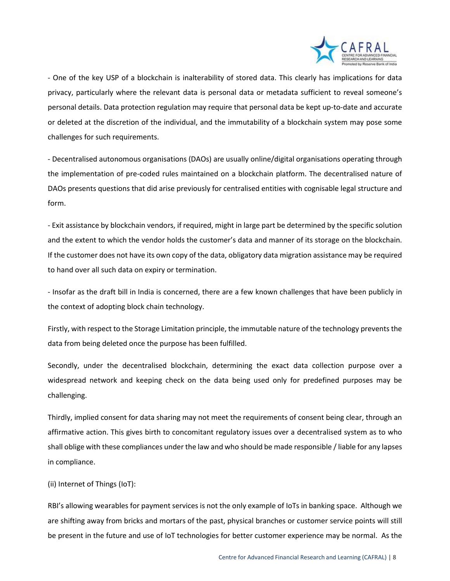

- One of the key USP of a blockchain is inalterability of stored data. This clearly has implications for data privacy, particularly where the relevant data is personal data or metadata sufficient to reveal someone's personal details. Data protection regulation may require that personal data be kept up-to-date and accurate or deleted at the discretion of the individual, and the immutability of a blockchain system may pose some challenges for such requirements.

- Decentralised autonomous organisations (DAOs) are usually online/digital organisations operating through the implementation of pre-coded rules maintained on a blockchain platform. The decentralised nature of DAOs presents questions that did arise previously for centralised entities with cognisable legal structure and form.

- Exit assistance by blockchain vendors, if required, might in large part be determined by the specific solution and the extent to which the vendor holds the customer's data and manner of its storage on the blockchain. If the customer does not have its own copy of the data, obligatory data migration assistance may be required to hand over all such data on expiry or termination.

- Insofar as the draft bill in India is concerned, there are a few known challenges that have been publicly in the context of adopting block chain technology.

Firstly, with respect to the Storage Limitation principle, the immutable nature of the technology prevents the data from being deleted once the purpose has been fulfilled.

Secondly, under the decentralised blockchain, determining the exact data collection purpose over a widespread network and keeping check on the data being used only for predefined purposes may be challenging.

Thirdly, implied consent for data sharing may not meet the requirements of consent being clear, through an affirmative action. This gives birth to concomitant regulatory issues over a decentralised system as to who shall oblige with these compliances under the law and who should be made responsible / liable for any lapses in compliance.

(ii) Internet of Things (IoT):

RBI's allowing wearables for payment services is not the only example of IoTs in banking space. Although we are shifting away from bricks and mortars of the past, physical branches or customer service points will still be present in the future and use of IoT technologies for better customer experience may be normal. As the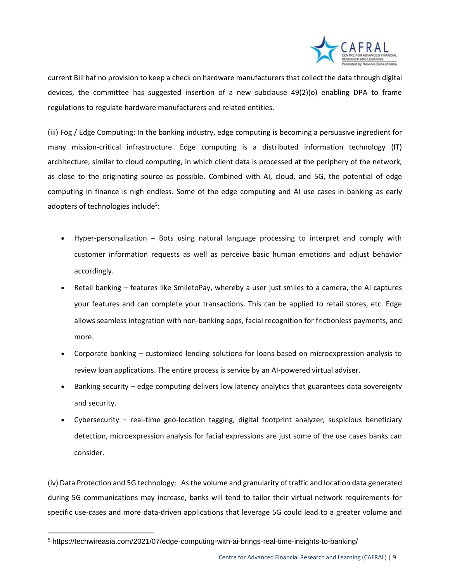

current Bill haf no provision to keep a check on hardware manufacturers that collect the data through digital devices, the committee has suggested insertion of a new subclause 49(2)(o) enabling DPA to frame regulations to regulate hardware manufacturers and related entities.

(iii) Fog / Edge Computing: In the banking industry, edge computing is becoming a persuasive ingredient for many mission-critical infrastructure. Edge computing is a distributed information technology (IT) architecture, similar to cloud computing, in which client data is processed at the periphery of the network, as close to the originating source as possible. Combined with AI, cloud, and 5G, the potential of edge computing in finance is nigh endless. Some of the edge computing and AI use cases in banking as early adopters of technologies include<sup>5</sup>:

- Hyper-personalization Bots using natural language processing to interpret and comply with customer information requests as well as perceive basic human emotions and adjust behavior accordingly.
- Retail banking features like SmiletoPay, whereby a user just smiles to a camera, the AI captures your features and can complete your transactions. This can be applied to retail stores, etc. Edge allows seamless integration with non-banking apps, facial recognition for frictionless payments, and more.
- Corporate banking customized lending solutions for loans based on microexpression analysis to review loan applications. The entire process is service by an AI-powered virtual adviser.
- Banking security edge computing delivers low latency analytics that guarantees data sovereignty and security.
- Cybersecurity real-time geo-location tagging, digital footprint analyzer, suspicious beneficiary detection, microexpression analysis for facial expressions are just some of the use cases banks can consider.

(iv) Data Protection and 5G technology: As the volume and granularity of traffic and location data generated during 5G communications may increase, banks will tend to tailor their virtual network requirements for specific use-cases and more data-driven applications that leverage 5G could lead to a greater volume and

 $\overline{a}$ 

<sup>5</sup> https://techwireasia.com/2021/07/edge-computing-with-ai-brings-real-time-insights-to-banking/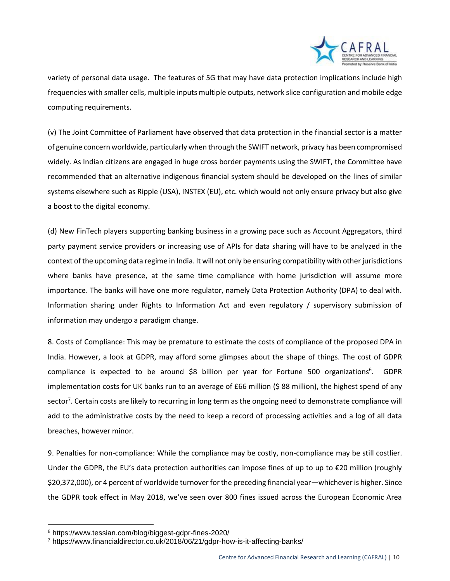

variety of personal data usage. The features of 5G that may have data protection implications include high frequencies with smaller cells, multiple inputs multiple outputs, network slice configuration and mobile edge computing requirements.

(v) The Joint Committee of Parliament have observed that data protection in the financial sector is a matter of genuine concern worldwide, particularly when through the SWIFT network, privacy has been compromised widely. As Indian citizens are engaged in huge cross border payments using the SWIFT, the Committee have recommended that an alternative indigenous financial system should be developed on the lines of similar systems elsewhere such as Ripple (USA), INSTEX (EU), etc. which would not only ensure privacy but also give a boost to the digital economy.

(d) New FinTech players supporting banking business in a growing pace such as Account Aggregators, third party payment service providers or increasing use of APIs for data sharing will have to be analyzed in the context of the upcoming data regime in India. It will not only be ensuring compatibility with other jurisdictions where banks have presence, at the same time compliance with home jurisdiction will assume more importance. The banks will have one more regulator, namely Data Protection Authority (DPA) to deal with. Information sharing under Rights to Information Act and even regulatory / supervisory submission of information may undergo a paradigm change.

8. Costs of Compliance: This may be premature to estimate the costs of compliance of the proposed DPA in India. However, a look at GDPR, may afford some glimpses about the shape of things. The cost of GDPR compliance is expected to be around \$8 billion per year for Fortune 500 organizations<sup>6</sup>. GDPR implementation costs for UK banks run to an average of £66 million (\$ 88 million), the highest spend of any sector<sup>7</sup>. Certain costs are likely to recurring in long term as the ongoing need to demonstrate compliance will add to the administrative costs by the need to keep a record of processing activities and a log of all data breaches, however minor.

9. Penalties for non-compliance: While the compliance may be costly, non-compliance may be still costlier. Under the GDPR, the EU's data protection authorities can impose fines of up to  $π$  to  $π$  million (roughly \$20,372,000), or 4 percent of worldwide turnover for the preceding financial year—whichever is higher. Since the GDPR took effect in May 2018, we've seen over 800 fines issued across the European Economic Area

 $\overline{a}$ 

<sup>6</sup> https://www.tessian.com/blog/biggest-gdpr-fines-2020/

<sup>7</sup> https://www.financialdirector.co.uk/2018/06/21/gdpr-how-is-it-affecting-banks/